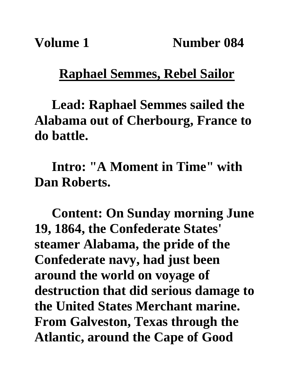## **Raphael Semmes, Rebel Sailor**

**Lead: Raphael Semmes sailed the Alabama out of Cherbourg, France to do battle.**

**Intro: "A Moment in Time" with Dan Roberts.**

**Content: On Sunday morning June 19, 1864, the Confederate States' steamer Alabama, the pride of the Confederate navy, had just been around the world on voyage of destruction that did serious damage to the United States Merchant marine. From Galveston, Texas through the Atlantic, around the Cape of Good**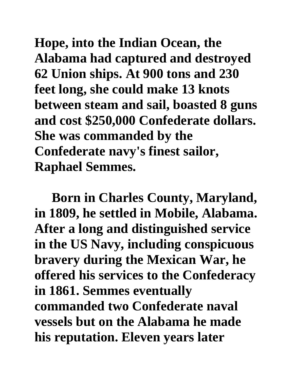**Hope, into the Indian Ocean, the Alabama had captured and destroyed 62 Union ships. At 900 tons and 230 feet long, she could make 13 knots between steam and sail, boasted 8 guns and cost \$250,000 Confederate dollars. She was commanded by the Confederate navy's finest sailor, Raphael Semmes.** 

**Born in Charles County, Maryland, in 1809, he settled in Mobile, Alabama. After a long and distinguished service in the US Navy, including conspicuous bravery during the Mexican War, he offered his services to the Confederacy in 1861. Semmes eventually commanded two Confederate naval vessels but on the Alabama he made his reputation. Eleven years later**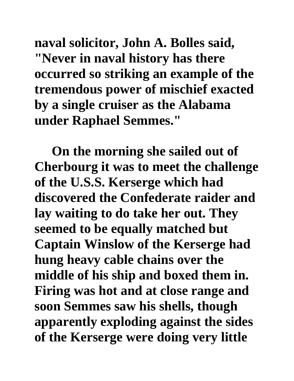**naval solicitor, John A. Bolles said, "Never in naval history has there occurred so striking an example of the tremendous power of mischief exacted by a single cruiser as the Alabama under Raphael Semmes."**

**On the morning she sailed out of Cherbourg it was to meet the challenge of the U.S.S. Kerserge which had discovered the Confederate raider and lay waiting to do take her out. They seemed to be equally matched but Captain Winslow of the Kerserge had hung heavy cable chains over the middle of his ship and boxed them in. Firing was hot and at close range and soon Semmes saw his shells, though apparently exploding against the sides of the Kerserge were doing very little**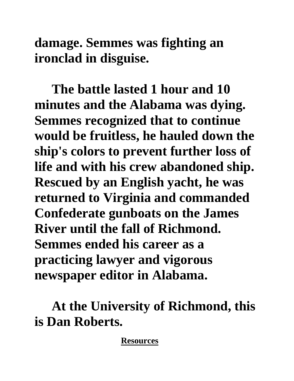**damage. Semmes was fighting an ironclad in disguise.**

**The battle lasted 1 hour and 10 minutes and the Alabama was dying. Semmes recognized that to continue would be fruitless, he hauled down the ship's colors to prevent further loss of life and with his crew abandoned ship. Rescued by an English yacht, he was returned to Virginia and commanded Confederate gunboats on the James River until the fall of Richmond. Semmes ended his career as a practicing lawyer and vigorous newspaper editor in Alabama.**

**At the University of Richmond, this is Dan Roberts.**

**Resources**